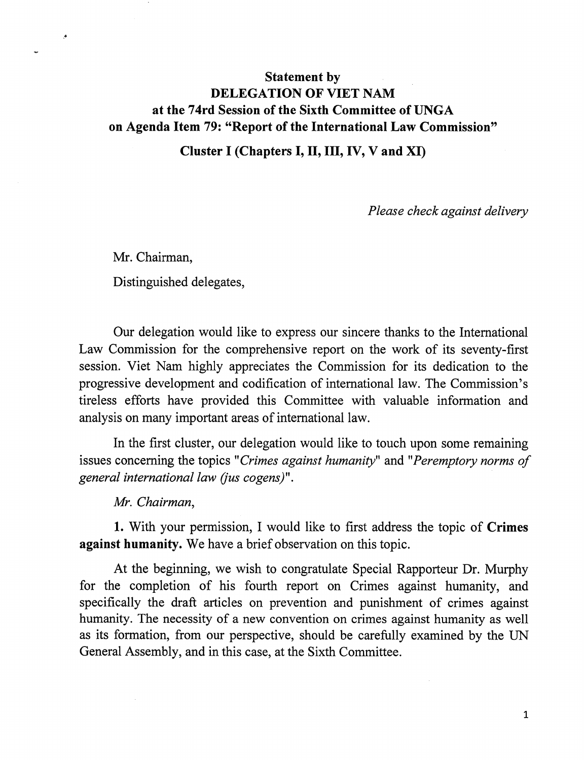## Statement by DELEGATION OF VIET NAM at the 74rd Session of the Sixth Committee of UNGA on Agenda Item 79: "Report of the International Law Commission"

Cluster I (Chapters I, II, III, IV, V and XI)

Please check against delivery

Mr. Chairman, Distinguished delegates,

 $\bullet$ 

Our delegation would like to express our sincere thanks to the International Law Commission for the comprehensive report on the work of its seventy-first session. Viet Nam highly appreciates the Commission for its dedication to the progressive development and codification of international law. The Commission's tireless efforts have provided this Committee with valuable information and analysis on many important areas of international law.

In the first cluster, our delegation would like to touch upon some remaining issues concerning the topics "Crimes against humanity" and "Peremptory norms of general international law (jus cogens)".

Mr. Chairman,

1. With your permission, I would like to first address the topic of Crimes against humanity. We have a brief observation on this topic.

At the beginning, we wish to congratulate Special Rapporteur Dr. Murphy for the completion of his fourth report on Crimes against humanity, and specifically the draft articles on prevention and punishment of crimes against humanity. The necessity of a new convention on crimes against humanity as well as its formation, from our perspective, should be carefully examined by the UN General Assembly, and in this case, at the Sixth Committee.

 $\mathbf{1}$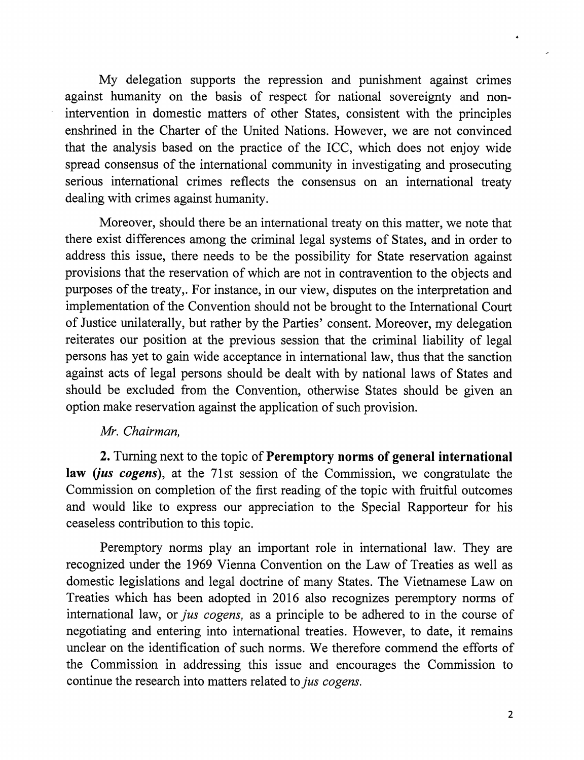My delegation supports the repression and punishment against crimes against humanity on the basis of respect for national sovereignty and non intervention in domestic matters of other States, consistent with the principles enshrined in the Charter of the United Nations. However, we are not convinced that the analysis based on the practice of the ICC, which does not enjoy wide spread consensus of the international community in investigating and prosecuting serious international crimes reflects the consensus on an international treaty dealing with crimes against humanity.

Moreover, should there be an international treaty on this matter, we note that there exist differences among the criminal legal systems of States, and in order to address this issue, there needs to be the possibility for State reservation against provisions that the reservation of which are not in contravention to the objects and purposes of the treaty,. For instance, in our view, disputes on the interpretation and implementation of the Convention should not be brought to the International Court of Justice unilaterally, but rather by the Parties' consent. Moreover, my delegation reiterates our position at the previous session that the criminal liability of legal persons has yet to gain wide acceptance in international law, thus that the sanction against acts of legal persons should be dealt with by national laws of States and should be excluded from the Convention, otherwise States should be given an option make reservation against the application of such provision.

## Mr. Chairman,

2. Turning next to the topic of Peremptory norms of general international law (jus cogens), at the 71st session of the Commission, we congratulate the Commission on completion of the first reading of the topic with finitful outcomes and would like to express our appreciation to the Special Rapporteur for his ceaseless contribution to this topic.

Peremptory norms play an important role in international law. They are recognized under the 1969 Vienna Convention on the Law of Treaties as well as domestic legislations and legal doctrine of many States. The Vietnamese Law on Treaties which has been adopted in 2016 also recognizes peremptory norms of international law, or *jus cogens*, as a principle to be adhered to in the course of negotiating and entering into intemational treaties. However, to date, it remains unclear on the identification of such norms. We therefore commend the efforts of the Commission in addressing this issue and encourages the Commission to continue the research into matters related to jus cogens.